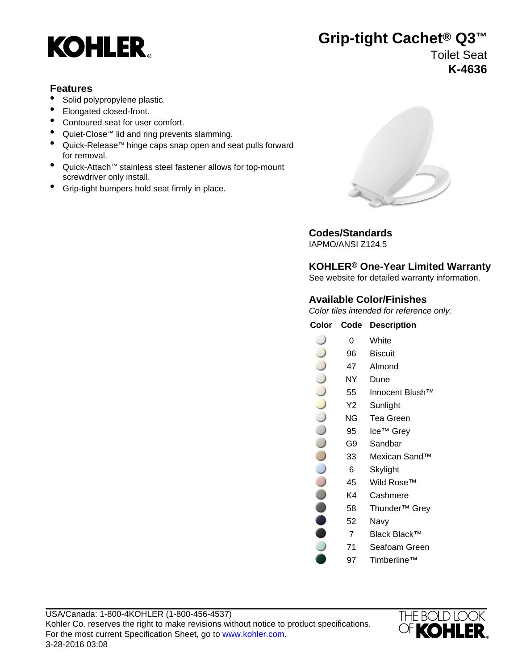

# **Grip-tight Cachet® Q3™**

Toilet Seat **K-4636**

#### **Features**

- Solid polypropylene plastic.
- Elongated closed-front.
- Contoured seat for user comfort.
- Quiet-Close™ lid and ring prevents slamming.
- Quick-Release™ hinge caps snap open and seat pulls forward for removal.
- Quick-Attach™ stainless steel fastener allows for top-mount screwdriver only install.
- Grip-tight bumpers hold seat firmly in place.



### **Codes/Standards**

IAPMO/ANSI Z124.5

### **KOHLER® One-Year Limited Warranty**

See website for detailed warranty information.

### **Available Color/Finishes**

Color tiles intended for reference only.

| Color | Code | <b>Description</b> |
|-------|------|--------------------|
|       | 0    | White              |
|       | 96   | <b>Biscuit</b>     |
|       | 47   | Almond             |
|       | NΥ   | Dune               |
|       | 55   | Innocent Blush™    |
|       | Y2   | Sunlight           |
|       | ΝG   | Tea Green          |
|       | 95   | Ice™ Grey          |
|       | G9   | Sandbar            |
|       | 33   | Mexican Sand™      |
|       | 6    | Skylight           |
|       | 45   | Wild Rose™         |
|       | .    |                    |

- K4 Cashmere
- 58 Thunder™ Grey
- 52 Navy
- 7 Black Black™
- 71 Seafoam Green
- 97 Timberline™